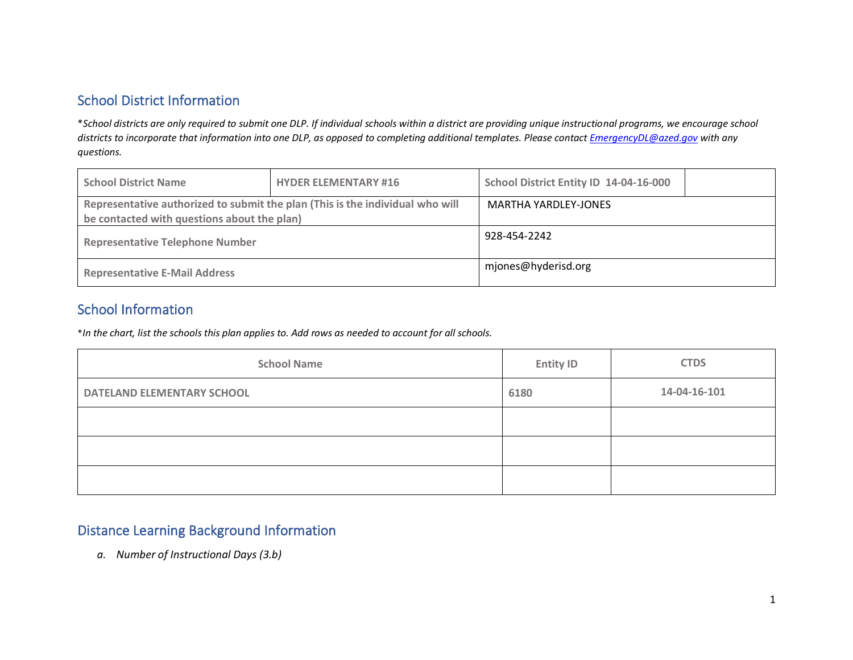# School District Information

\**School districts are only required to submit one DLP. If individual schools within a district are providing unique instructional programs, we encourage school districts to incorporate that information into one DLP, as opposed to completing additional templates. Please contac[t EmergencyDL@azed.gov](mailto:EmergencyDL@azed.gov) with any questions.*

| <b>School District Name</b>                                                                                                  | <b>HYDER ELEMENTARY #16</b> | School District Entity ID 14-04-16-000 |  |
|------------------------------------------------------------------------------------------------------------------------------|-----------------------------|----------------------------------------|--|
| Representative authorized to submit the plan (This is the individual who will<br>be contacted with questions about the plan) |                             | <b>MARTHA YARDLEY-JONES</b>            |  |
| <b>Representative Telephone Number</b>                                                                                       |                             | 928-454-2242                           |  |
| <b>Representative E-Mail Address</b>                                                                                         |                             | mjones@hyderisd.org                    |  |

## School Information

\**In the chart, list the schools this plan applies to. Add rows as needed to account for all schools.*

| <b>School Name</b>                | <b>Entity ID</b> | <b>CTDS</b>  |
|-----------------------------------|------------------|--------------|
| <b>DATELAND ELEMENTARY SCHOOL</b> | 6180             | 14-04-16-101 |
|                                   |                  |              |
|                                   |                  |              |
|                                   |                  |              |

#### Distance Learning Background Information

*a. Number of Instructional Days (3.b)*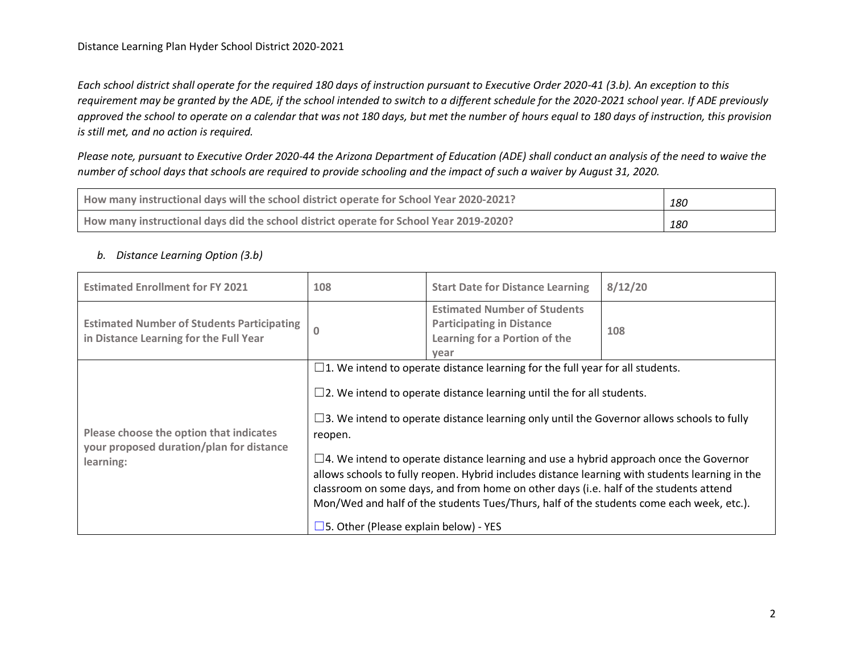*Each school district shall operate for the required 180 days of instruction pursuant to Executive Order 2020-41 (3.b). An exception to this requirement may be granted by the ADE, if the school intended to switch to a different schedule for the 2020-2021 school year. If ADE previously approved the school to operate on a calendar that was not 180 days, but met the number of hours equal to 180 days of instruction, this provision is still met, and no action is required.*

*Please note, pursuant to Executive Order 2020-44 the Arizona Department of Education (ADE) shall conduct an analysis of the need to waive the number of school days that schools are required to provide schooling and the impact of such a waiver by August 31, 2020.*

| How many instructional days will the school district operate for School Year 2020-2021? | 180 |
|-----------------------------------------------------------------------------------------|-----|
| How many instructional days did the school district operate for School Year 2019-2020?  | 180 |

#### *b. Distance Learning Option (3.b)*

| <b>Estimated Enrollment for FY 2021</b>                                                     | 108                                                                                                                                                                                                                                                                                                                                                                                                                                     | <b>Start Date for Distance Learning</b>                                                                          | 8/12/20 |
|---------------------------------------------------------------------------------------------|-----------------------------------------------------------------------------------------------------------------------------------------------------------------------------------------------------------------------------------------------------------------------------------------------------------------------------------------------------------------------------------------------------------------------------------------|------------------------------------------------------------------------------------------------------------------|---------|
| <b>Estimated Number of Students Participating</b><br>in Distance Learning for the Full Year | $\mathbf{0}$                                                                                                                                                                                                                                                                                                                                                                                                                            | <b>Estimated Number of Students</b><br><b>Participating in Distance</b><br>Learning for a Portion of the<br>year | 108     |
| Please choose the option that indicates<br>your proposed duration/plan for distance         | $\Box$ 1. We intend to operate distance learning for the full year for all students.<br>$\square$ 2. We intend to operate distance learning until the for all students.<br>$\square$ 3. We intend to operate distance learning only until the Governor allows schools to fully<br>reopen.                                                                                                                                               |                                                                                                                  |         |
| learning:                                                                                   | $\Box$ 4. We intend to operate distance learning and use a hybrid approach once the Governor<br>allows schools to fully reopen. Hybrid includes distance learning with students learning in the<br>classroom on some days, and from home on other days (i.e. half of the students attend<br>Mon/Wed and half of the students Tues/Thurs, half of the students come each week, etc.).<br>$\square$ 5. Other (Please explain below) - YES |                                                                                                                  |         |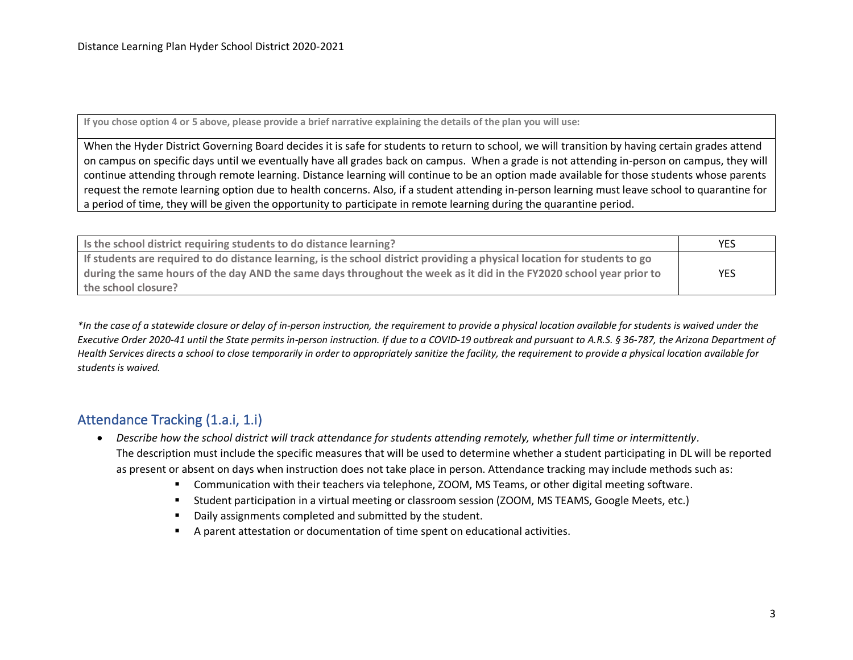**If you chose option 4 or 5 above, please provide a brief narrative explaining the details of the plan you will use:**

When the Hyder District Governing Board decides it is safe for students to return to school, we will transition by having certain grades attend on campus on specific days until we eventually have all grades back on campus. When a grade is not attending in-person on campus, they will continue attending through remote learning. Distance learning will continue to be an option made available for those students whose parents request the remote learning option due to health concerns. Also, if a student attending in-person learning must leave school to quarantine for a period of time, they will be given the opportunity to participate in remote learning during the quarantine period.

| Is the school district requiring students to do distance learning?                                                        | YES        |
|---------------------------------------------------------------------------------------------------------------------------|------------|
| If students are required to do distance learning, is the school district providing a physical location for students to go |            |
| during the same hours of the day AND the same days throughout the week as it did in the FY2020 school year prior to       | <b>YES</b> |
| the school closure?                                                                                                       |            |

*\*In the case of a statewide closure or delay of in-person instruction, the requirement to provide a physical location available for students is waived under the Executive Order 2020-41 until the State permits in-person instruction. If due to a COVID-19 outbreak and pursuant to A.R.S. § 36-787, the Arizona Department of Health Services directs a school to close temporarily in order to appropriately sanitize the facility, the requirement to provide a physical location available for students is waived.* 

## Attendance Tracking (1.a.i, 1.i)

- *Describe how the school district will track attendance for students attending remotely, whether full time or intermittently.* The description must include the specific measures that will be used to determine whether a student participating in DL will be reported as present or absent on days when instruction does not take place in person. Attendance tracking may include methods such as:
	- Communication with their teachers via telephone, ZOOM, MS Teams, or other digital meeting software.
	- Student participation in a virtual meeting or classroom session (ZOOM, MS TEAMS, Google Meets, etc.)
	- Daily assignments completed and submitted by the student.
	- A parent attestation or documentation of time spent on educational activities.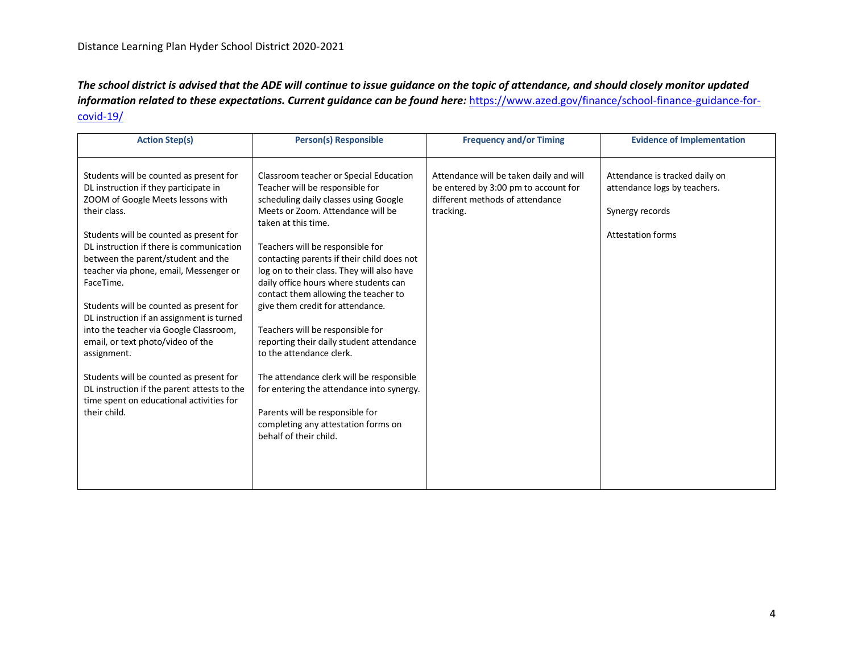*The school district is advised that the ADE will continue to issue guidance on the topic of attendance, and should closely monitor updated information related to these expectations. Current guidance can be found here:* [https://www.azed.gov/finance/school-finance-guidance-for](https://www.azed.gov/finance/school-finance-guidance-for-covid-19/)[covid-19/](https://www.azed.gov/finance/school-finance-guidance-for-covid-19/)

| <b>Action Step(s)</b>                                                                                                                                                                                                                                                                                                                                                                                                                                                                                           | <b>Person(s) Responsible</b>                                                                                                                                                                                                                                                                                                                                                                                                                                                                                                                    | <b>Frequency and/or Timing</b>                                                                                                  | <b>Evidence of Implementation</b>                                                                             |
|-----------------------------------------------------------------------------------------------------------------------------------------------------------------------------------------------------------------------------------------------------------------------------------------------------------------------------------------------------------------------------------------------------------------------------------------------------------------------------------------------------------------|-------------------------------------------------------------------------------------------------------------------------------------------------------------------------------------------------------------------------------------------------------------------------------------------------------------------------------------------------------------------------------------------------------------------------------------------------------------------------------------------------------------------------------------------------|---------------------------------------------------------------------------------------------------------------------------------|---------------------------------------------------------------------------------------------------------------|
| Students will be counted as present for<br>DL instruction if they participate in<br>ZOOM of Google Meets lessons with<br>their class.<br>Students will be counted as present for<br>DL instruction if there is communication<br>between the parent/student and the<br>teacher via phone, email, Messenger or<br>FaceTime.<br>Students will be counted as present for<br>DL instruction if an assignment is turned<br>into the teacher via Google Classroom,<br>email, or text photo/video of the<br>assignment. | Classroom teacher or Special Education<br>Teacher will be responsible for<br>scheduling daily classes using Google<br>Meets or Zoom. Attendance will be<br>taken at this time.<br>Teachers will be responsible for<br>contacting parents if their child does not<br>log on to their class. They will also have<br>daily office hours where students can<br>contact them allowing the teacher to<br>give them credit for attendance.<br>Teachers will be responsible for<br>reporting their daily student attendance<br>to the attendance clerk. | Attendance will be taken daily and will<br>be entered by 3:00 pm to account for<br>different methods of attendance<br>tracking. | Attendance is tracked daily on<br>attendance logs by teachers.<br>Synergy records<br><b>Attestation forms</b> |
| Students will be counted as present for<br>DL instruction if the parent attests to the<br>time spent on educational activities for<br>their child.                                                                                                                                                                                                                                                                                                                                                              | The attendance clerk will be responsible<br>for entering the attendance into synergy.<br>Parents will be responsible for<br>completing any attestation forms on<br>behalf of their child.                                                                                                                                                                                                                                                                                                                                                       |                                                                                                                                 |                                                                                                               |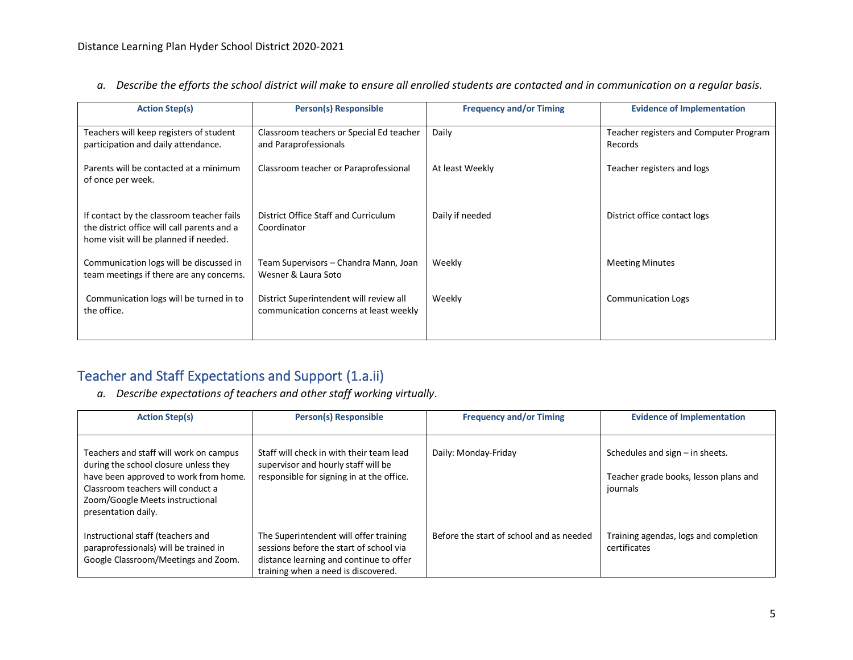| <b>Action Step(s)</b>                                                                                                             | <b>Person(s) Responsible</b>                                                      | <b>Frequency and/or Timing</b> | <b>Evidence of Implementation</b>                 |
|-----------------------------------------------------------------------------------------------------------------------------------|-----------------------------------------------------------------------------------|--------------------------------|---------------------------------------------------|
| Teachers will keep registers of student<br>participation and daily attendance.                                                    | Classroom teachers or Special Ed teacher<br>and Paraprofessionals                 | Daily                          | Teacher registers and Computer Program<br>Records |
| Parents will be contacted at a minimum<br>of once per week.                                                                       | Classroom teacher or Paraprofessional                                             | At least Weekly                | Teacher registers and logs                        |
| If contact by the classroom teacher fails<br>the district office will call parents and a<br>home visit will be planned if needed. | District Office Staff and Curriculum<br>Coordinator                               | Daily if needed                | District office contact logs                      |
| Communication logs will be discussed in<br>team meetings if there are any concerns.                                               | Team Supervisors – Chandra Mann, Joan<br>Wesner & Laura Soto                      | Weekly                         | <b>Meeting Minutes</b>                            |
| Communication logs will be turned in to<br>the office.                                                                            | District Superintendent will review all<br>communication concerns at least weekly | Weekly                         | <b>Communication Logs</b>                         |

*a. Describe the efforts the school district will make to ensure all enrolled students are contacted and in communication on a regular basis.* 

# Teacher and Staff Expectations and Support (1.a.ii)

*a. Describe expectations of teachers and other staff working virtually.*

| <b>Action Step(s)</b>                                                                                                                                                                                                   | <b>Person(s) Responsible</b>                                                                                                                                        | <b>Frequency and/or Timing</b>           | <b>Evidence of Implementation</b>                                                      |
|-------------------------------------------------------------------------------------------------------------------------------------------------------------------------------------------------------------------------|---------------------------------------------------------------------------------------------------------------------------------------------------------------------|------------------------------------------|----------------------------------------------------------------------------------------|
| Teachers and staff will work on campus<br>during the school closure unless they<br>have been approved to work from home.<br>Classroom teachers will conduct a<br>Zoom/Google Meets instructional<br>presentation daily. | Staff will check in with their team lead<br>supervisor and hourly staff will be<br>responsible for signing in at the office.                                        | Daily: Monday-Friday                     | Schedules and sign $-$ in sheets.<br>Teacher grade books, lesson plans and<br>journals |
| Instructional staff (teachers and<br>paraprofessionals) will be trained in<br>Google Classroom/Meetings and Zoom.                                                                                                       | The Superintendent will offer training<br>sessions before the start of school via<br>distance learning and continue to offer<br>training when a need is discovered. | Before the start of school and as needed | Training agendas, logs and completion<br>certificates                                  |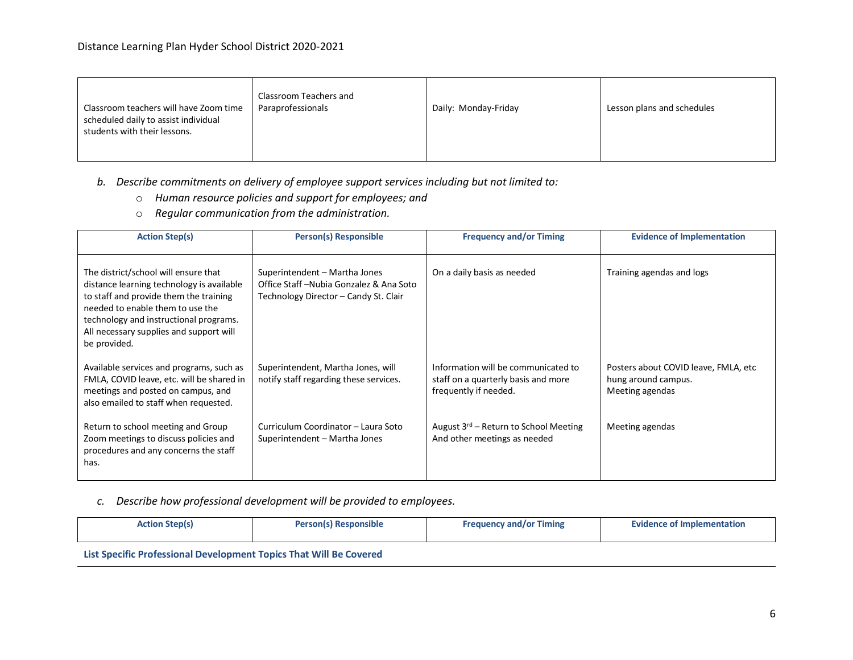| Classroom Teachers and<br>Paraprofessionals<br>Classroom teachers will have Zoom time<br>scheduled daily to assist individual<br>students with their lessons. | Daily: Monday-Friday | Lesson plans and schedules |
|---------------------------------------------------------------------------------------------------------------------------------------------------------------|----------------------|----------------------------|
|---------------------------------------------------------------------------------------------------------------------------------------------------------------|----------------------|----------------------------|

- *b. Describe commitments on delivery of employee support services including but not limited to:*
	- o *Human resource policies and support for employees; and*
	- o *Regular communication from the administration.*

| <b>Action Step(s)</b>                                                                                                                                                                                                                                                | <b>Person(s) Responsible</b>                                                                                       | <b>Frequency and/or Timing</b>                                                                      | <b>Evidence of Implementation</b>                                              |
|----------------------------------------------------------------------------------------------------------------------------------------------------------------------------------------------------------------------------------------------------------------------|--------------------------------------------------------------------------------------------------------------------|-----------------------------------------------------------------------------------------------------|--------------------------------------------------------------------------------|
| The district/school will ensure that<br>distance learning technology is available<br>to staff and provide them the training<br>needed to enable them to use the<br>technology and instructional programs.<br>All necessary supplies and support will<br>be provided. | Superintendent - Martha Jones<br>Office Staff - Nubia Gonzalez & Ana Soto<br>Technology Director - Candy St. Clair | On a daily basis as needed                                                                          | Training agendas and logs                                                      |
| Available services and programs, such as<br>FMLA, COVID leave, etc. will be shared in<br>meetings and posted on campus, and<br>also emailed to staff when requested.                                                                                                 | Superintendent, Martha Jones, will<br>notify staff regarding these services.                                       | Information will be communicated to<br>staff on a quarterly basis and more<br>frequently if needed. | Posters about COVID leave, FMLA, etc<br>hung around campus.<br>Meeting agendas |
| Return to school meeting and Group<br>Zoom meetings to discuss policies and<br>procedures and any concerns the staff<br>has.                                                                                                                                         | Curriculum Coordinator - Laura Soto<br>Superintendent - Martha Jones                                               | August $3^{rd}$ – Return to School Meeting<br>And other meetings as needed                          | Meeting agendas                                                                |

#### *c. Describe how professional development will be provided to employees.*

| <b>Action Step(s)</b>                                                         | <b>Person(s) Responsible</b> | <b>Frequency and/or Timing</b> | <b>Evidence of Implementation</b> |
|-------------------------------------------------------------------------------|------------------------------|--------------------------------|-----------------------------------|
| The Constitution for the change is and constitution which will be Constituted |                              |                                |                                   |

**List Specific Professional Development Topics That Will Be Covered**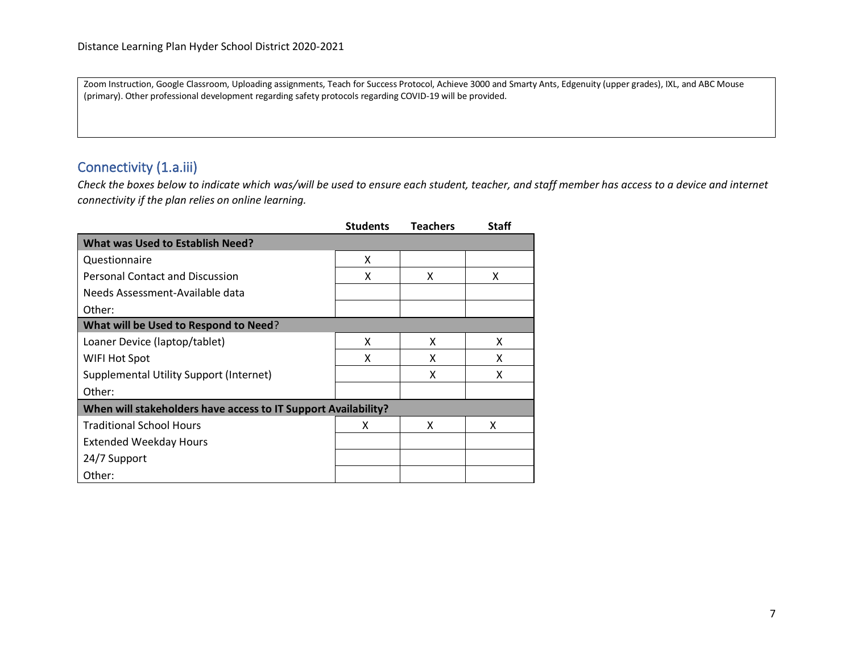Zoom Instruction, Google Classroom, Uploading assignments, Teach for Success Protocol, Achieve 3000 and Smarty Ants, Edgenuity (upper grades), IXL, and ABC Mouse (primary). Other professional development regarding safety protocols regarding COVID-19 will be provided.

## Connectivity (1.a.iii)

*Check the boxes below to indicate which was/will be used to ensure each student, teacher, and staff member has access to a device and internet connectivity if the plan relies on online learning.*

|                                                                | <b>Students</b> | <b>Teachers</b> | <b>Staff</b> |
|----------------------------------------------------------------|-----------------|-----------------|--------------|
| <b>What was Used to Establish Need?</b>                        |                 |                 |              |
| Questionnaire                                                  | X               |                 |              |
| <b>Personal Contact and Discussion</b>                         | X               | x               | x            |
| Needs Assessment-Available data                                |                 |                 |              |
| Other:                                                         |                 |                 |              |
| What will be Used to Respond to Need?                          |                 |                 |              |
| Loaner Device (laptop/tablet)                                  | x               | x               | X            |
| WIFI Hot Spot                                                  | X               | X               | x            |
| Supplemental Utility Support (Internet)                        |                 | X               | x            |
| Other:                                                         |                 |                 |              |
| When will stakeholders have access to IT Support Availability? |                 |                 |              |
| <b>Traditional School Hours</b>                                | x               | x               | x            |
| <b>Extended Weekday Hours</b>                                  |                 |                 |              |
| 24/7 Support                                                   |                 |                 |              |
| Other:                                                         |                 |                 |              |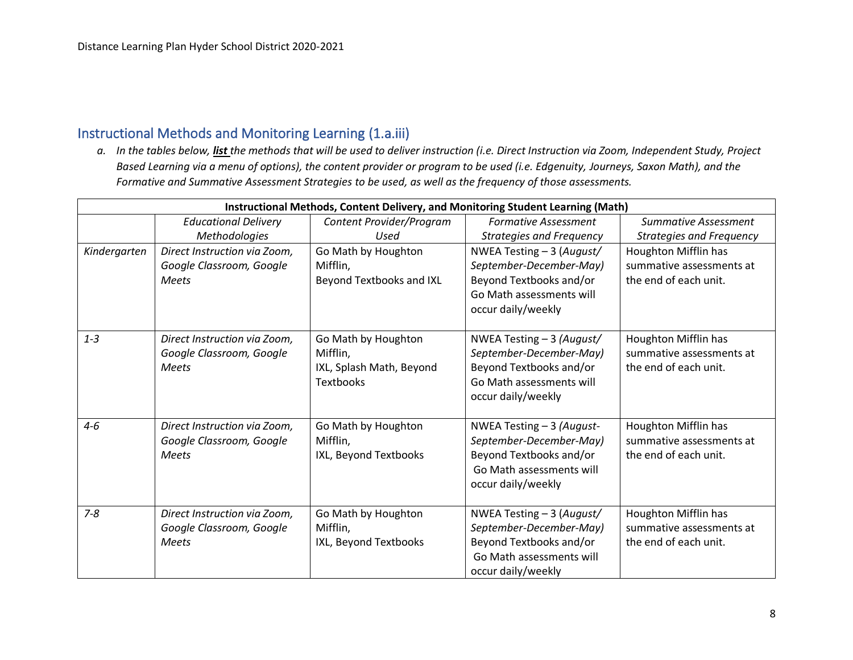### Instructional Methods and Monitoring Learning (1.a.iii)

*a. In the tables below, list the methods that will be used to deliver instruction (i.e. Direct Instruction via Zoom, Independent Study, Project Based Learning via a menu of options), the content provider or program to be used (i.e. Edgenuity, Journeys, Saxon Math), and the Formative and Summative Assessment Strategies to be used, as well as the frequency of those assessments.*

|              | Instructional Methods, Content Delivery, and Monitoring Student Learning (Math) |                          |                                 |                                 |  |
|--------------|---------------------------------------------------------------------------------|--------------------------|---------------------------------|---------------------------------|--|
|              | <b>Educational Delivery</b>                                                     | Content Provider/Program | <b>Formative Assessment</b>     | Summative Assessment            |  |
|              | Methodologies                                                                   | Used                     | <b>Strategies and Frequency</b> | <b>Strategies and Frequency</b> |  |
| Kindergarten | Direct Instruction via Zoom,                                                    | Go Math by Houghton      | NWEA Testing - 3 (August/       | Houghton Mifflin has            |  |
|              | Google Classroom, Google                                                        | Mifflin,                 | September-December-May)         | summative assessments at        |  |
|              | <b>Meets</b>                                                                    | Beyond Textbooks and IXL | Beyond Textbooks and/or         | the end of each unit.           |  |
|              |                                                                                 |                          | Go Math assessments will        |                                 |  |
|              |                                                                                 |                          | occur daily/weekly              |                                 |  |
|              |                                                                                 |                          |                                 |                                 |  |
| $1 - 3$      | Direct Instruction via Zoom,                                                    | Go Math by Houghton      | NWEA Testing - 3 (August/       | Houghton Mifflin has            |  |
|              | Google Classroom, Google                                                        | Mifflin,                 | September-December-May)         | summative assessments at        |  |
|              | <b>Meets</b>                                                                    | IXL, Splash Math, Beyond | Beyond Textbooks and/or         | the end of each unit.           |  |
|              |                                                                                 | <b>Textbooks</b>         | Go Math assessments will        |                                 |  |
|              |                                                                                 |                          | occur daily/weekly              |                                 |  |
|              |                                                                                 |                          |                                 |                                 |  |
| $4 - 6$      | Direct Instruction via Zoom,                                                    | Go Math by Houghton      | NWEA Testing - 3 (August-       | Houghton Mifflin has            |  |
|              | Google Classroom, Google                                                        | Mifflin,                 | September-December-May)         | summative assessments at        |  |
|              | <b>Meets</b>                                                                    | IXL, Beyond Textbooks    | Beyond Textbooks and/or         | the end of each unit.           |  |
|              |                                                                                 |                          | Go Math assessments will        |                                 |  |
|              |                                                                                 |                          | occur daily/weekly              |                                 |  |
|              |                                                                                 |                          |                                 |                                 |  |
| $7 - 8$      | Direct Instruction via Zoom,                                                    | Go Math by Houghton      | NWEA Testing - 3 (August/       | Houghton Mifflin has            |  |
|              | Google Classroom, Google                                                        | Mifflin,                 | September-December-May)         | summative assessments at        |  |
|              | <b>Meets</b>                                                                    | IXL, Beyond Textbooks    | Beyond Textbooks and/or         | the end of each unit.           |  |
|              |                                                                                 |                          | Go Math assessments will        |                                 |  |
|              |                                                                                 |                          | occur daily/weekly              |                                 |  |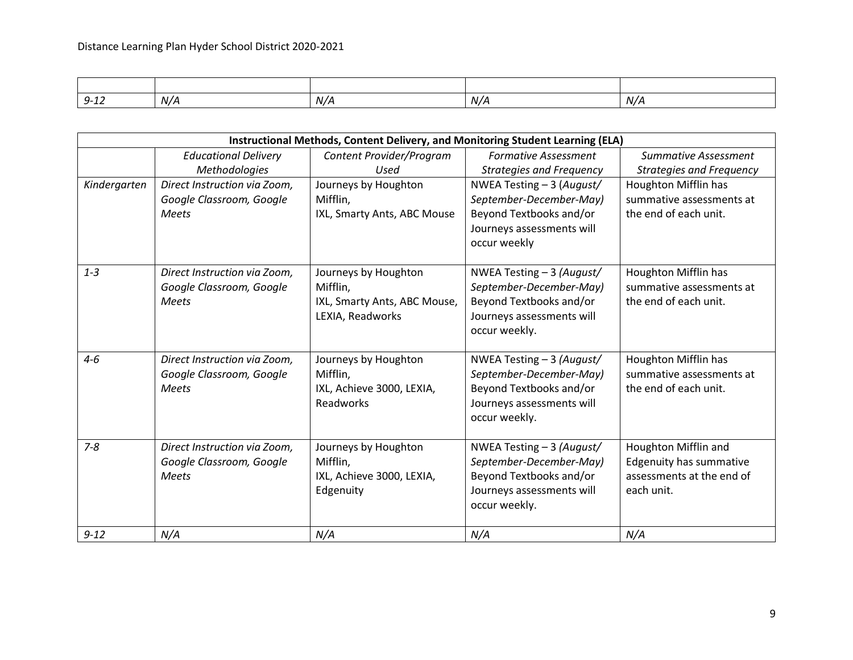| $Q - 1.7$<br>J 14 | N/A | N/A | N/A | N/4 |
|-------------------|-----|-----|-----|-----|

|              | Instructional Methods, Content Delivery, and Monitoring Student Learning (ELA) |                              |                                 |                                 |  |
|--------------|--------------------------------------------------------------------------------|------------------------------|---------------------------------|---------------------------------|--|
|              | <b>Educational Delivery</b>                                                    | Content Provider/Program     | <b>Formative Assessment</b>     | <b>Summative Assessment</b>     |  |
|              | Methodologies                                                                  | Used                         | <b>Strategies and Frequency</b> | <b>Strategies and Frequency</b> |  |
| Kindergarten | Direct Instruction via Zoom,                                                   | Journeys by Houghton         | NWEA Testing - 3 (August/       | Houghton Mifflin has            |  |
|              | Google Classroom, Google                                                       | Mifflin,                     | September-December-May)         | summative assessments at        |  |
|              | <b>Meets</b>                                                                   | IXL, Smarty Ants, ABC Mouse  | Beyond Textbooks and/or         | the end of each unit.           |  |
|              |                                                                                |                              | Journeys assessments will       |                                 |  |
|              |                                                                                |                              | occur weekly                    |                                 |  |
| $1 - 3$      | Direct Instruction via Zoom,                                                   | Journeys by Houghton         | NWEA Testing - 3 (August/       | Houghton Mifflin has            |  |
|              | Google Classroom, Google                                                       | Mifflin,                     | September-December-May)         | summative assessments at        |  |
|              | <b>Meets</b>                                                                   | IXL, Smarty Ants, ABC Mouse, | Beyond Textbooks and/or         | the end of each unit.           |  |
|              |                                                                                | LEXIA, Readworks             | Journeys assessments will       |                                 |  |
|              |                                                                                |                              | occur weekly.                   |                                 |  |
|              |                                                                                |                              |                                 |                                 |  |
| $4 - 6$      | Direct Instruction via Zoom,                                                   | Journeys by Houghton         | NWEA Testing - 3 (August/       | Houghton Mifflin has            |  |
|              | Google Classroom, Google                                                       | Mifflin,                     | September-December-May)         | summative assessments at        |  |
|              | <b>Meets</b>                                                                   | IXL, Achieve 3000, LEXIA,    | Beyond Textbooks and/or         | the end of each unit.           |  |
|              |                                                                                | Readworks                    | Journeys assessments will       |                                 |  |
|              |                                                                                |                              | occur weekly.                   |                                 |  |
| $7 - 8$      | Direct Instruction via Zoom,                                                   | Journeys by Houghton         | NWEA Testing - 3 (August/       | Houghton Mifflin and            |  |
|              | Google Classroom, Google                                                       | Mifflin,                     | September-December-May)         | <b>Edgenuity has summative</b>  |  |
|              | <b>Meets</b>                                                                   | IXL, Achieve 3000, LEXIA,    | Beyond Textbooks and/or         | assessments at the end of       |  |
|              |                                                                                | Edgenuity                    | Journeys assessments will       | each unit.                      |  |
|              |                                                                                |                              | occur weekly.                   |                                 |  |
| $9 - 12$     | N/A                                                                            | N/A                          | N/A                             | N/A                             |  |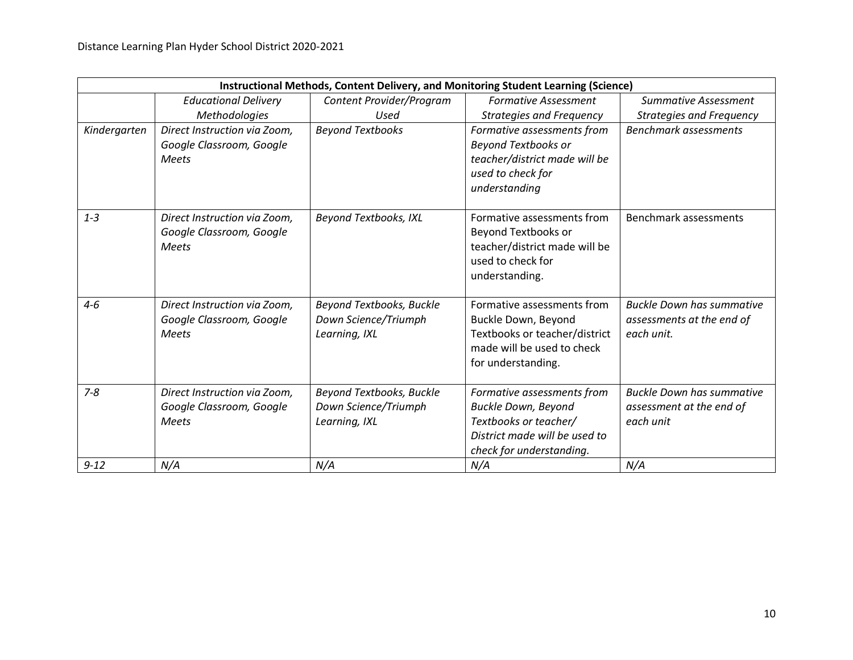|              | Instructional Methods, Content Delivery, and Monitoring Student Learning (Science) |                                                                   |                                                                                                                                                |                                                                             |  |
|--------------|------------------------------------------------------------------------------------|-------------------------------------------------------------------|------------------------------------------------------------------------------------------------------------------------------------------------|-----------------------------------------------------------------------------|--|
|              | <b>Educational Delivery</b>                                                        | Content Provider/Program                                          | <b>Formative Assessment</b>                                                                                                                    | Summative Assessment                                                        |  |
|              | Methodologies                                                                      | Used                                                              | <b>Strategies and Frequency</b>                                                                                                                | <b>Strategies and Frequency</b>                                             |  |
| Kindergarten | Direct Instruction via Zoom,<br>Google Classroom, Google<br><b>Meets</b>           | <b>Beyond Textbooks</b>                                           | Formative assessments from<br><b>Beyond Textbooks or</b><br>teacher/district made will be<br>used to check for<br>understanding                | <b>Benchmark assessments</b>                                                |  |
| $1 - 3$      | Direct Instruction via Zoom,<br>Google Classroom, Google<br><b>Meets</b>           | <b>Beyond Textbooks, IXL</b>                                      | Formative assessments from<br>Beyond Textbooks or<br>teacher/district made will be<br>used to check for<br>understanding.                      | <b>Benchmark assessments</b>                                                |  |
| $4 - 6$      | Direct Instruction via Zoom,<br>Google Classroom, Google<br><b>Meets</b>           | Beyond Textbooks, Buckle<br>Down Science/Triumph<br>Learning, IXL | Formative assessments from<br>Buckle Down, Beyond<br>Textbooks or teacher/district<br>made will be used to check<br>for understanding.         | <b>Buckle Down has summative</b><br>assessments at the end of<br>each unit. |  |
| $7 - 8$      | Direct Instruction via Zoom,<br>Google Classroom, Google<br><b>Meets</b>           | Beyond Textbooks, Buckle<br>Down Science/Triumph<br>Learning, IXL | Formative assessments from<br><b>Buckle Down, Beyond</b><br>Textbooks or teacher/<br>District made will be used to<br>check for understanding. | <b>Buckle Down has summative</b><br>assessment at the end of<br>each unit   |  |
| $9 - 12$     | N/A                                                                                | N/A                                                               | N/A                                                                                                                                            | N/A                                                                         |  |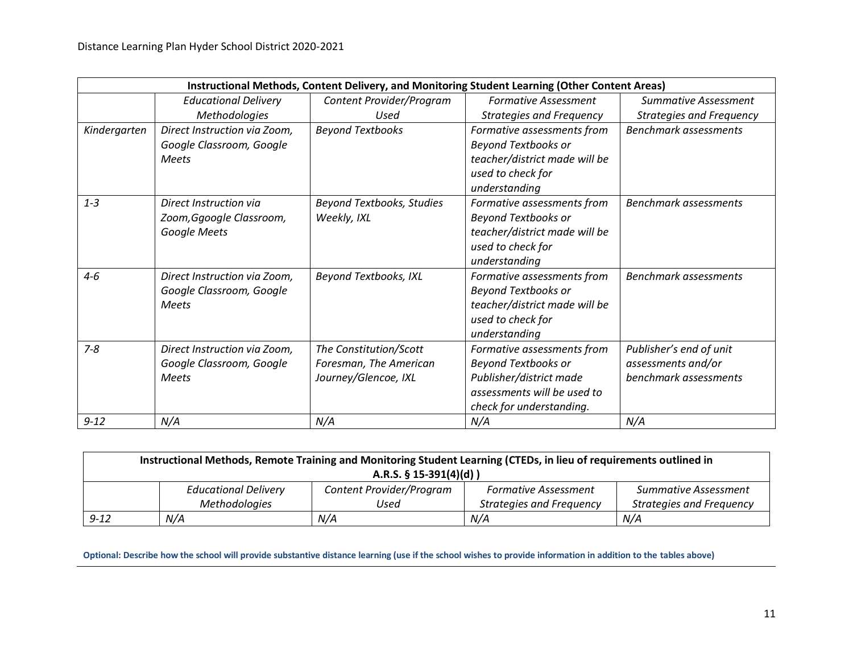|              | Instructional Methods, Content Delivery, and Monitoring Student Learning (Other Content Areas) |                                  |                                 |                                 |  |
|--------------|------------------------------------------------------------------------------------------------|----------------------------------|---------------------------------|---------------------------------|--|
|              | <b>Educational Delivery</b>                                                                    | Content Provider/Program         | <b>Formative Assessment</b>     | <b>Summative Assessment</b>     |  |
|              | Methodologies                                                                                  | Used                             | <b>Strategies and Frequency</b> | <b>Strategies and Frequency</b> |  |
| Kindergarten | Direct Instruction via Zoom,                                                                   | <b>Beyond Textbooks</b>          | Formative assessments from      | <b>Benchmark assessments</b>    |  |
|              | Google Classroom, Google                                                                       |                                  | <b>Beyond Textbooks or</b>      |                                 |  |
|              | <b>Meets</b>                                                                                   |                                  | teacher/district made will be   |                                 |  |
|              |                                                                                                |                                  | used to check for               |                                 |  |
|              |                                                                                                |                                  | understanding                   |                                 |  |
| $1 - 3$      | Direct Instruction via                                                                         | <b>Beyond Textbooks, Studies</b> | Formative assessments from      | <b>Benchmark assessments</b>    |  |
|              | Zoom, Ggoogle Classroom,                                                                       | Weekly, IXL                      | <b>Beyond Textbooks or</b>      |                                 |  |
|              | Google Meets                                                                                   |                                  | teacher/district made will be   |                                 |  |
|              |                                                                                                |                                  | used to check for               |                                 |  |
|              |                                                                                                |                                  | understanding                   |                                 |  |
| $4 - 6$      | Direct Instruction via Zoom,                                                                   | <b>Beyond Textbooks, IXL</b>     | Formative assessments from      | <b>Benchmark assessments</b>    |  |
|              | Google Classroom, Google                                                                       |                                  | <b>Beyond Textbooks or</b>      |                                 |  |
|              | <b>Meets</b>                                                                                   |                                  | teacher/district made will be   |                                 |  |
|              |                                                                                                |                                  | used to check for               |                                 |  |
|              |                                                                                                |                                  | understanding                   |                                 |  |
| $7 - 8$      | Direct Instruction via Zoom,                                                                   | The Constitution/Scott           | Formative assessments from      | Publisher's end of unit         |  |
|              | Google Classroom, Google                                                                       | Foresman, The American           | <b>Beyond Textbooks or</b>      | assessments and/or              |  |
|              | <b>Meets</b>                                                                                   | Journey/Glencoe, IXL             | Publisher/district made         | benchmark assessments           |  |
|              |                                                                                                |                                  | assessments will be used to     |                                 |  |
|              |                                                                                                |                                  | check for understanding.        |                                 |  |
| $9 - 12$     | N/A                                                                                            | N/A                              | N/A                             | N/A                             |  |

| Instructional Methods, Remote Training and Monitoring Student Learning (CTEDs, in lieu of requirements outlined in<br>A.R.S. $\S$ 15-391(4)(d)) |                             |                          |                                 |                                 |  |
|-------------------------------------------------------------------------------------------------------------------------------------------------|-----------------------------|--------------------------|---------------------------------|---------------------------------|--|
|                                                                                                                                                 |                             |                          |                                 |                                 |  |
|                                                                                                                                                 | <b>Educational Delivery</b> | Content Provider/Program | <b>Formative Assessment</b>     | Summative Assessment            |  |
|                                                                                                                                                 | Methodologies               | Used                     | <b>Strategies and Frequency</b> | <b>Strategies and Frequency</b> |  |
| $9 - 12$                                                                                                                                        | N/A                         | N/A                      | N/A                             | N/A                             |  |

**Optional: Describe how the school will provide substantive distance learning (use if the school wishes to provide information in addition to the tables above)**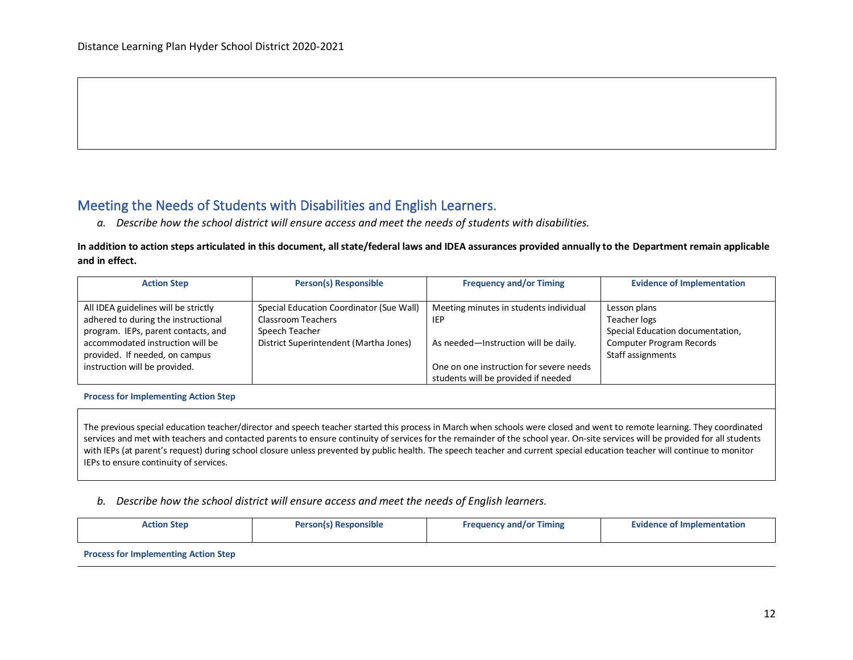### Meeting the Needs of Students with Disabilities and English Learners.

*a. Describe how the school district will ensure access and meet the needs of students with disabilities.*

#### **In addition to action steps articulated in this document, all state/federal laws and IDEA assurances provided annually to the Department remain applicable and in effect.**

| <b>Action Step</b>                   | <b>Person(s) Responsible</b>             | <b>Frequency and/or Timing</b>          | <b>Evidence of Implementation</b> |
|--------------------------------------|------------------------------------------|-----------------------------------------|-----------------------------------|
|                                      |                                          |                                         |                                   |
| All IDEA guidelines will be strictly | Special Education Coordinator (Sue Wall) | Meeting minutes in students individual  | Lesson plans                      |
| adhered to during the instructional  | Classroom Teachers                       | <b>IEP</b>                              | Teacher logs                      |
| program. IEPs, parent contacts, and  | Speech Teacher                           |                                         | Special Education documentation,  |
| accommodated instruction will be     | District Superintendent (Martha Jones)   | As needed-Instruction will be daily.    | Computer Program Records          |
| provided. If needed, on campus       |                                          |                                         | Staff assignments                 |
| instruction will be provided.        |                                          | One on one instruction for severe needs |                                   |
|                                      |                                          | students will be provided if needed     |                                   |

#### **Process for Implementing Action Step**

The previous special education teacher/director and speech teacher started this process in March when schools were closed and went to remote learning. They coordinated services and met with teachers and contacted parents to ensure continuity of services for the remainder of the school year. On-site services will be provided for all students with IEPs (at parent's request) during school closure unless prevented by public health. The speech teacher and current special education teacher will continue to monitor IEPs to ensure continuity of services.

#### *b. Describe how the school district will ensure access and meet the needs of English learners.*

| <b>Action Step</b>                          | <b>Person(s) Responsible</b> | <b>Frequency and/or Timing</b> | <b>Evidence of Implementation</b> |
|---------------------------------------------|------------------------------|--------------------------------|-----------------------------------|
| <b>Process for Implementing Action Step</b> |                              |                                |                                   |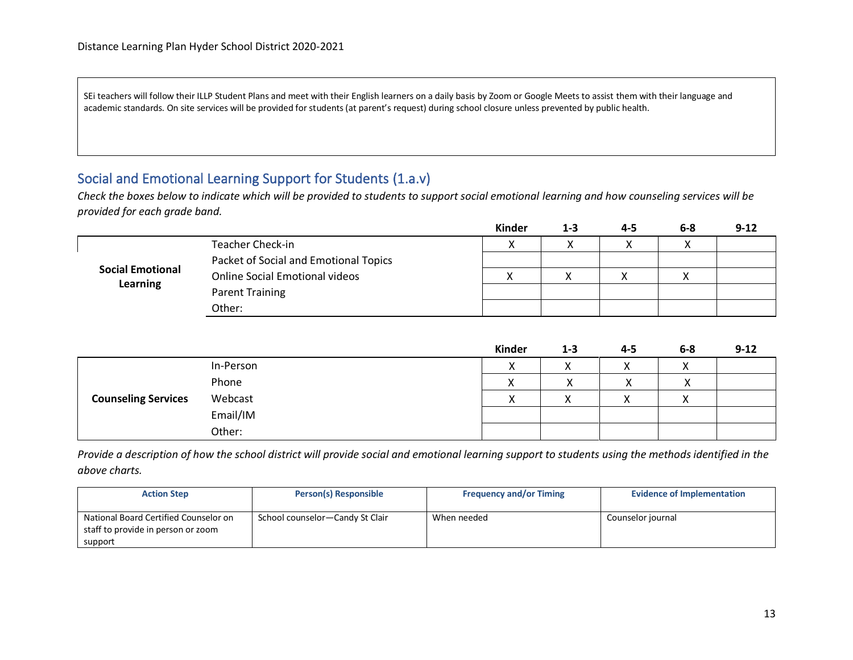SEi teachers will follow their ILLP Student Plans and meet with their English learners on a daily basis by Zoom or Google Meets to assist them with their language and academic standards. On site services will be provided for students (at parent's request) during school closure unless prevented by public health.

## Social and Emotional Learning Support for Students (1.a.v)

*Check the boxes below to indicate which will be provided to students to support social emotional learning and how counseling services will be provided for each grade band.*

|                         |                                       | Kinder    | 1-3 | 4-5 | $6 - 8$ | $9 - 12$ |
|-------------------------|---------------------------------------|-----------|-----|-----|---------|----------|
|                         | <b>Teacher Check-in</b>               | $\lambda$ |     |     |         |          |
|                         | Packet of Social and Emotional Topics |           |     |     |         |          |
| <b>Social Emotional</b> | <b>Online Social Emotional videos</b> |           |     |     |         |          |
| <b>Learning</b>         | <b>Parent Training</b>                |           |     |     |         |          |
|                         | Other:                                |           |     |     |         |          |

|                            |           | <b>Kinder</b>             | $1 - 3$ | $4 - 5$ | $6-8$                     | $9 - 12$ |
|----------------------------|-----------|---------------------------|---------|---------|---------------------------|----------|
|                            | In-Person | $\mathbf{v}$<br>$\lambda$ | ◠       |         | $\cdot$<br>↗              |          |
|                            | Phone     |                           |         |         | $\checkmark$<br>$\lambda$ |          |
| <b>Counseling Services</b> | Webcast   | v<br>$\sqrt{ }$           | ◠       |         | $\checkmark$              |          |
|                            | Email/IM  |                           |         |         |                           |          |
|                            | Other:    |                           |         |         |                           |          |

*Provide a description of how the school district will provide social and emotional learning support to students using the methods identified in the above charts.*

| <b>Action Step</b>                    | Person(s) Responsible           | <b>Frequency and/or Timing</b> | <b>Evidence of Implementation</b> |
|---------------------------------------|---------------------------------|--------------------------------|-----------------------------------|
|                                       |                                 |                                |                                   |
| National Board Certified Counselor on | School counselor-Candy St Clair | When needed                    | Counselor journal                 |
| staff to provide in person or zoom    |                                 |                                |                                   |
| support                               |                                 |                                |                                   |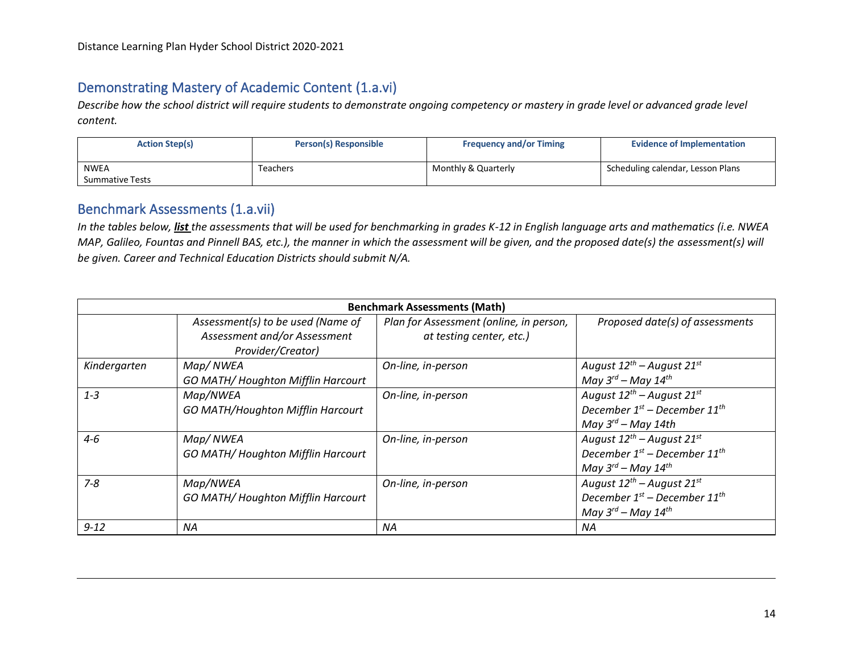# Demonstrating Mastery of Academic Content (1.a.vi)

*Describe how the school district will require students to demonstrate ongoing competency or mastery in grade level or advanced grade level content.*

| <b>Action Step(s)</b>                 | <b>Person(s) Responsible</b> | <b>Frequency and/or Timing</b> | <b>Evidence of Implementation</b> |
|---------------------------------------|------------------------------|--------------------------------|-----------------------------------|
| <b>NWEA</b><br><b>Summative Tests</b> | Teachers                     | Monthly & Quarterly            | Scheduling calendar, Lesson Plans |

# Benchmark Assessments (1.a.vii)

*In the tables below, list the assessments that will be used for benchmarking in grades K-12 in English language arts and mathematics (i.e. NWEA MAP, Galileo, Fountas and Pinnell BAS, etc.), the manner in which the assessment will be given, and the proposed date(s) the assessment(s) will be given. Career and Technical Education Districts should submit N/A.* 

| <b>Benchmark Assessments (Math)</b> |                                                                                        |                                                                     |                                                                                                               |  |
|-------------------------------------|----------------------------------------------------------------------------------------|---------------------------------------------------------------------|---------------------------------------------------------------------------------------------------------------|--|
|                                     | Assessment(s) to be used (Name of<br>Assessment and/or Assessment<br>Provider/Creator) | Plan for Assessment (online, in person,<br>at testing center, etc.) | Proposed date(s) of assessments                                                                               |  |
| Kindergarten                        | Map/NWEA<br>GO MATH/Houghton Mifflin Harcourt                                          | On-line, in-person                                                  | August $12^{th}$ – August $21^{st}$<br>May $3^{rd}$ – May $14^{th}$                                           |  |
| $1 - 3$                             | Map/NWEA<br><b>GO MATH/Houghton Mifflin Harcourt</b>                                   | On-line, in-person                                                  | August $12^{th}$ – August $21^{st}$<br>December $1^{st}$ – December $11^{th}$<br>May $3^{rd}$ – May 14th      |  |
| $4 - 6$                             | Map/NWEA<br>GO MATH/ Houghton Mifflin Harcourt                                         | On-line, in-person                                                  | August $12^{th}$ – August $21^{st}$<br>December $1^{st}$ – December $11^{th}$<br>May $3^{rd}$ – May $14^{th}$ |  |
| $7 - 8$                             | Map/NWEA<br>GO MATH/Houghton Mifflin Harcourt                                          | On-line, in-person                                                  | August $12^{th}$ – August $21^{st}$<br>December $1^{st}$ – December $11^{th}$<br>May $3^{rd}$ – May $14^{th}$ |  |
| $9 - 12$                            | NA                                                                                     | NA.                                                                 | ΝA                                                                                                            |  |